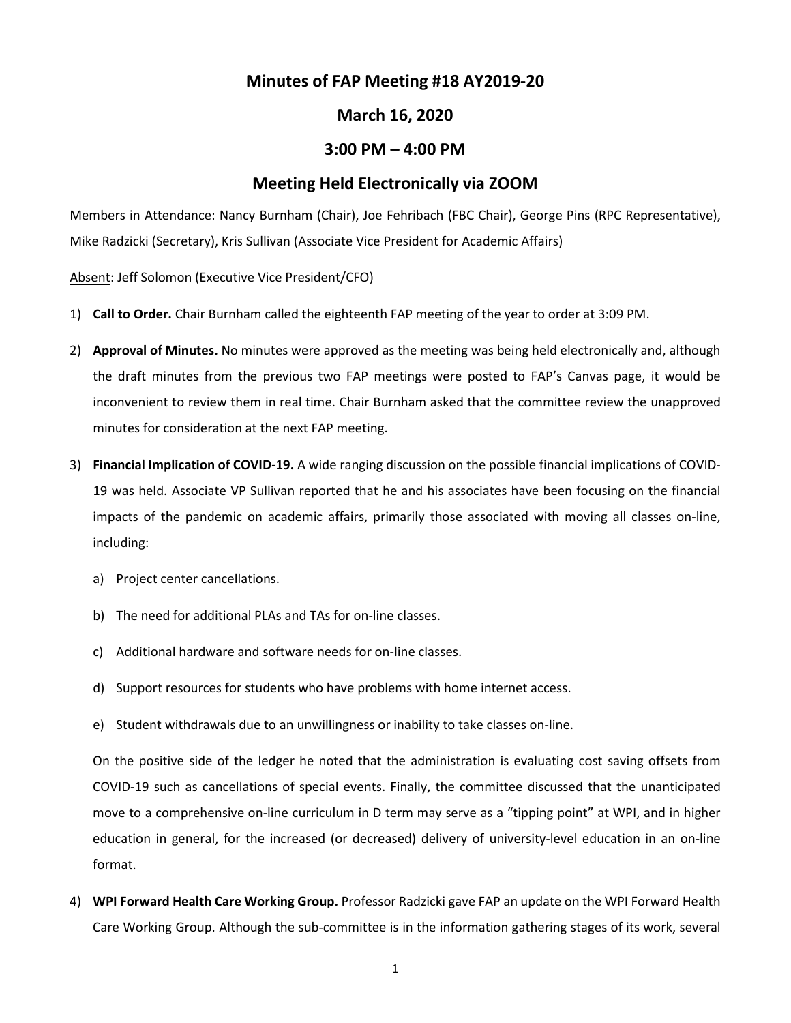# **Minutes of FAP Meeting #18 AY2019-20**

### **March 16, 2020**

## **3:00 PM – 4:00 PM**

## **Meeting Held Electronically via ZOOM**

Members in Attendance: Nancy Burnham (Chair), Joe Fehribach (FBC Chair), George Pins (RPC Representative), Mike Radzicki (Secretary), Kris Sullivan (Associate Vice President for Academic Affairs)

Absent: Jeff Solomon (Executive Vice President/CFO)

- 1) **Call to Order.** Chair Burnham called the eighteenth FAP meeting of the year to order at 3:09 PM.
- 2) **Approval of Minutes.** No minutes were approved as the meeting was being held electronically and, although the draft minutes from the previous two FAP meetings were posted to FAP's Canvas page, it would be inconvenient to review them in real time. Chair Burnham asked that the committee review the unapproved minutes for consideration at the next FAP meeting.
- 3) **Financial Implication of COVID-19.** A wide ranging discussion on the possible financial implications of COVID-19 was held. Associate VP Sullivan reported that he and his associates have been focusing on the financial impacts of the pandemic on academic affairs, primarily those associated with moving all classes on-line, including:
	- a) Project center cancellations.
	- b) The need for additional PLAs and TAs for on-line classes.
	- c) Additional hardware and software needs for on-line classes.
	- d) Support resources for students who have problems with home internet access.
	- e) Student withdrawals due to an unwillingness or inability to take classes on-line.

On the positive side of the ledger he noted that the administration is evaluating cost saving offsets from COVID-19 such as cancellations of special events. Finally, the committee discussed that the unanticipated move to a comprehensive on-line curriculum in D term may serve as a "tipping point" at WPI, and in higher education in general, for the increased (or decreased) delivery of university-level education in an on-line format.

4) **WPI Forward Health Care Working Group.** Professor Radzicki gave FAP an update on the WPI Forward Health Care Working Group. Although the sub-committee is in the information gathering stages of its work, several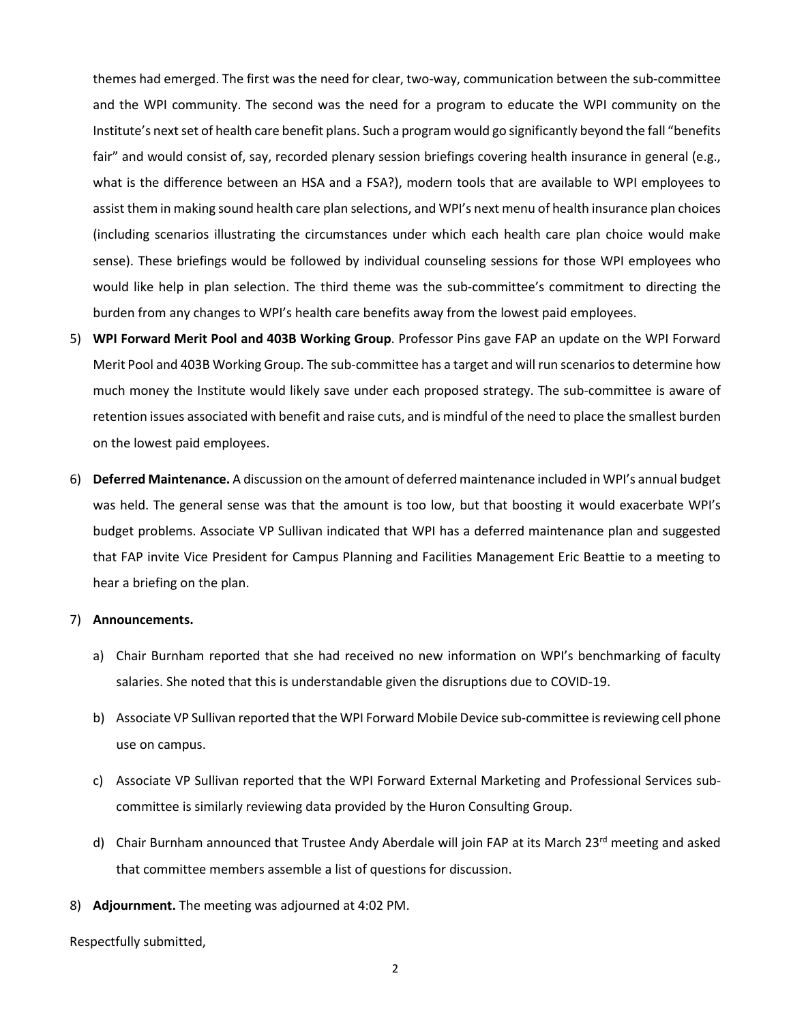themes had emerged. The first was the need for clear, two-way, communication between the sub-committee and the WPI community. The second was the need for a program to educate the WPI community on the Institute's next set of health care benefit plans. Such a program would go significantly beyond the fall "benefits fair" and would consist of, say, recorded plenary session briefings covering health insurance in general (e.g., what is the difference between an HSA and a FSA?), modern tools that are available to WPI employees to assist them in making sound health care plan selections, and WPI's next menu of health insurance plan choices (including scenarios illustrating the circumstances under which each health care plan choice would make sense). These briefings would be followed by individual counseling sessions for those WPI employees who would like help in plan selection. The third theme was the sub-committee's commitment to directing the burden from any changes to WPI's health care benefits away from the lowest paid employees.

- 5) **WPI Forward Merit Pool and 403B Working Group**. Professor Pins gave FAP an update on the WPI Forward Merit Pool and 403B Working Group. The sub-committee has a target and will run scenarios to determine how much money the Institute would likely save under each proposed strategy. The sub-committee is aware of retention issues associated with benefit and raise cuts, and is mindful of the need to place the smallest burden on the lowest paid employees.
- 6) **Deferred Maintenance.** A discussion on the amount of deferred maintenance included in WPI's annual budget was held. The general sense was that the amount is too low, but that boosting it would exacerbate WPI's budget problems. Associate VP Sullivan indicated that WPI has a deferred maintenance plan and suggested that FAP invite Vice President for Campus Planning and Facilities Management Eric Beattie to a meeting to hear a briefing on the plan.

#### 7) **Announcements.**

- a) Chair Burnham reported that she had received no new information on WPI's benchmarking of faculty salaries. She noted that this is understandable given the disruptions due to COVID-19.
- b) Associate VP Sullivan reported that the WPI Forward Mobile Device sub-committee is reviewing cell phone use on campus.
- c) Associate VP Sullivan reported that the WPI Forward External Marketing and Professional Services subcommittee is similarly reviewing data provided by the Huron Consulting Group.
- d) Chair Burnham announced that Trustee Andy Aberdale will join FAP at its March 23<sup>rd</sup> meeting and asked that committee members assemble a list of questions for discussion.
- 8) **Adjournment.** The meeting was adjourned at 4:02 PM.

Respectfully submitted,